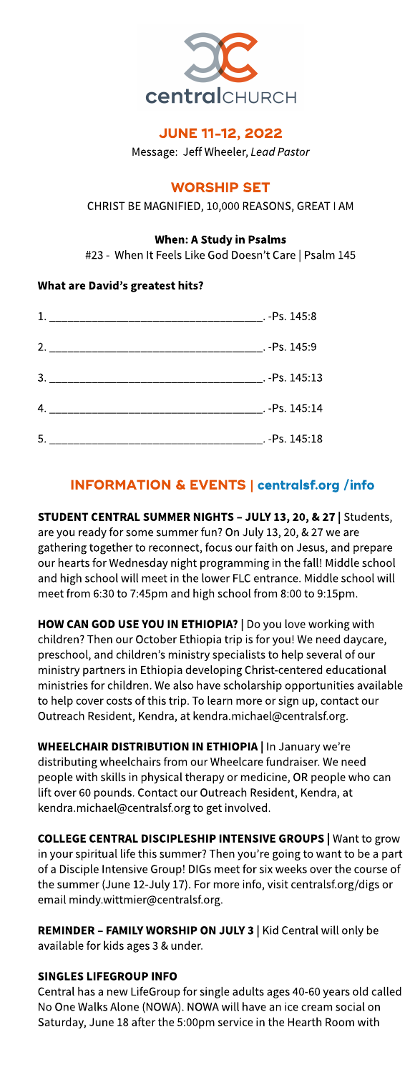

## **JUNE 11-12, 2022**

Message: Jeff Wheeler, Lead Pastor

## **WORSHIP SET**

CHRIST BE MAGNIFIED, 10,000 REASONS, GREAT I AM

#### When: AStudy in Psalms

#23 - When It Feels Like God Doesn't Care | Psalm 145

## What are David?s greatest hits?

| 1. |                |
|----|----------------|
|    |                |
|    |                |
|    | Ps. 145:14     |
| 5. | $-$ Ps. 145:18 |

# INFORMATION& EVENTS| **[centralsf.org/info](http://centralsf.org/info)**

#### STUDENT CENTRAL SUMMER NIGHTS - JULY 13, 20, & 27 | Students, are you ready for some summer fun? On July 13, 20, & 27 we are gathering together to reconnect, focus our faith on Jesus, and prepare our hearts for Wednesday night programming in the fall! Middle school and high school will meet in the lower FLC entrance. Middle school will meet from 6:30 to 7:45pm and high school from 8:00 to 9:15pm.

HOW CAN GOD USE YOU IN ETHIOPIA? | Do you love working with children? Then our October Ethiopia trip is for you! We need daycare, preschool, and children's ministry specialists to help several of our ministry partners in Ethiopia developing Christ-centered educational ministries for children. We also have scholarship opportunities available to help cover costs of this trip. To learn more or sign up, contact our Outreach Resident, Kendra, at kendra.michael@centralsf.org.

**WHEELCHAIR DISTRIBUTION IN ETHIOPIA | In January we're** distributing wheelchairs from our Wheelcare fundraiser. We need people with skills in physical therapy or medicine, OR people who can lift over 60 pounds. Contact our Outreach Resident, Kendra, at kendra.michael@centralsf.org to get involved.

COLLEGE CENTRAL DISCIPLESHIP INTENSIVE GROUPS | Want to grow in your spiritual life this summer? Then you're going to want to be a part of a Disciple Intensive Group! DIGs meet for six weeks over the course of the summer (June 12-July 17). For more info, visit centralsf.org/digs or email mindy.wittmier@centralsf.org.

REMINDER - FAMILY WORSHIP ON JULY 3 | Kid Central will only be available for kids ages 3 & under.

#### SINGLES LIFEGROUP INFO

Central has a new LifeGroup for single adults ages 40-60 years old called No One Walks Alone (NOWA). NOWA will have an ice cream social on Saturday, June 18 after the 5:00pm service in the Hearth Room with